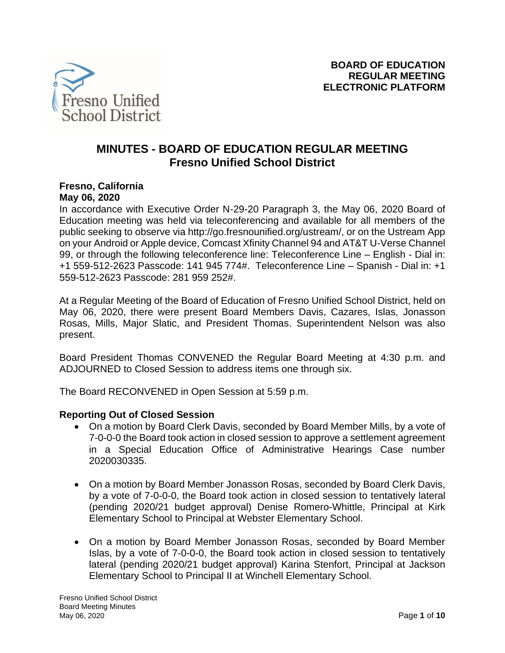

# **MINUTES - BOARD OF EDUCATION REGULAR MEETING Fresno Unified School District**

#### **Fresno, California May 06, 2020**

In accordance with Executive Order N-29-20 Paragraph 3, the May 06, 2020 Board of Education meeting was held via teleconferencing and available for all members of the public seeking to observe via http://go.fresnounified.org/ustream/, or on the Ustream App on your Android or Apple device, Comcast Xfinity Channel 94 and AT&T U-Verse Channel 99, or through the following teleconference line: Teleconference Line – English - Dial in: +1 559-512-2623 Passcode: 141 945 774#. Teleconference Line – Spanish - Dial in: +1 559-512-2623 Passcode: 281 959 252#.

At a Regular Meeting of the Board of Education of Fresno Unified School District, held on May 06, 2020, there were present Board Members Davis, Cazares, Islas, Jonasson Rosas, Mills, Major Slatic, and President Thomas. Superintendent Nelson was also present.

Board President Thomas CONVENED the Regular Board Meeting at 4:30 p.m. and ADJOURNED to Closed Session to address items one through six.

The Board RECONVENED in Open Session at 5:59 p.m.

#### **Reporting Out of Closed Session**

- On a motion by Board Clerk Davis, seconded by Board Member Mills, by a vote of 7-0-0-0 the Board took action in closed session to approve a settlement agreement in a Special Education Office of Administrative Hearings Case number 2020030335.
- On a motion by Board Member Jonasson Rosas, seconded by Board Clerk Davis, by a vote of 7-0-0-0, the Board took action in closed session to tentatively lateral (pending 2020/21 budget approval) Denise Romero-Whittle, Principal at Kirk Elementary School to Principal at Webster Elementary School.
- On a motion by Board Member Jonasson Rosas, seconded by Board Member Islas, by a vote of 7-0-0-0, the Board took action in closed session to tentatively lateral (pending 2020/21 budget approval) Karina Stenfort, Principal at Jackson Elementary School to Principal II at Winchell Elementary School.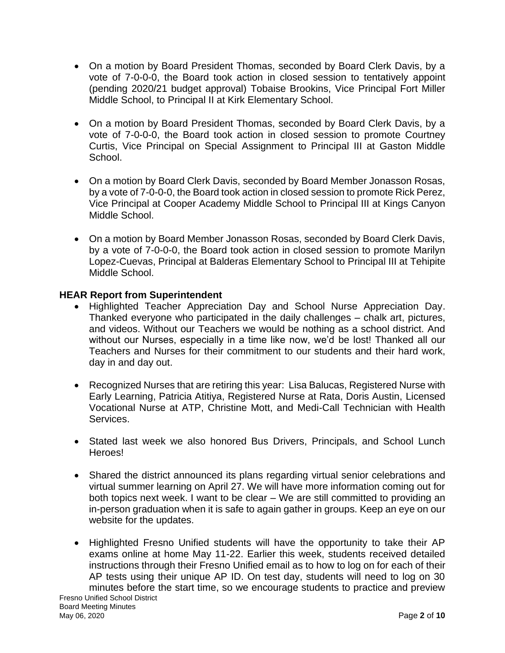- On a motion by Board President Thomas, seconded by Board Clerk Davis, by a vote of 7-0-0-0, the Board took action in closed session to tentatively appoint (pending 2020/21 budget approval) Tobaise Brookins, Vice Principal Fort Miller Middle School, to Principal II at Kirk Elementary School.
- On a motion by Board President Thomas, seconded by Board Clerk Davis, by a vote of 7-0-0-0, the Board took action in closed session to promote Courtney Curtis, Vice Principal on Special Assignment to Principal III at Gaston Middle School.
- On a motion by Board Clerk Davis, seconded by Board Member Jonasson Rosas, by a vote of 7-0-0-0, the Board took action in closed session to promote Rick Perez, Vice Principal at Cooper Academy Middle School to Principal III at Kings Canyon Middle School.
- On a motion by Board Member Jonasson Rosas, seconded by Board Clerk Davis, by a vote of 7-0-0-0, the Board took action in closed session to promote Marilyn Lopez-Cuevas, Principal at Balderas Elementary School to Principal III at Tehipite Middle School.

# **HEAR Report from Superintendent**

- Highlighted Teacher Appreciation Day and School Nurse Appreciation Day. Thanked everyone who participated in the daily challenges – chalk art, pictures, and videos. Without our Teachers we would be nothing as a school district. And without our Nurses, especially in a time like now, we'd be lost! Thanked all our Teachers and Nurses for their commitment to our students and their hard work, day in and day out.
- Recognized Nurses that are retiring this year: Lisa Balucas, Registered Nurse with Early Learning, Patricia Atitiya, Registered Nurse at Rata, Doris Austin, Licensed Vocational Nurse at ATP, Christine Mott, and Medi-Call Technician with Health Services.
- Stated last week we also honored Bus Drivers, Principals, and School Lunch Heroes!
- Shared the district announced its plans regarding virtual senior celebrations and virtual summer learning on April 27. We will have more information coming out for both topics next week. I want to be clear – We are still committed to providing an in-person graduation when it is safe to again gather in groups. Keep an eye on our website for the updates.
- Fresno Unified School District Board Meeting Minutes • Highlighted Fresno Unified students will have the opportunity to take their AP exams online at home May 11-22. Earlier this week, students received detailed instructions through their Fresno Unified email as to how to log on for each of their AP tests using their unique AP ID. On test day, students will need to log on 30 minutes before the start time, so we encourage students to practice and preview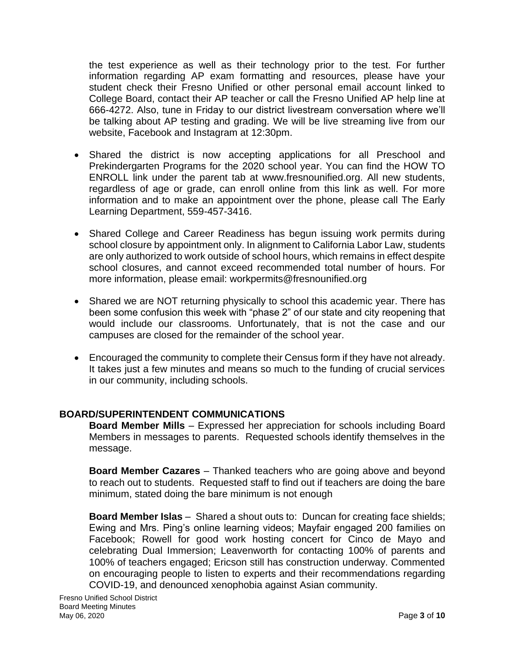the test experience as well as their technology prior to the test. For further information regarding AP exam formatting and resources, please have your student check their Fresno Unified or other personal email account linked to College Board, contact their AP teacher or call the Fresno Unified AP help line at 666-4272. Also, tune in Friday to our district livestream conversation where we'll be talking about AP testing and grading. We will be live streaming live from our website, Facebook and Instagram at 12:30pm.

- Shared the district is now accepting applications for all Preschool and Prekindergarten Programs for the 2020 school year. You can find the HOW TO ENROLL link under the parent tab at www.fresnounified.org. All new students, regardless of age or grade, can enroll online from this link as well. For more information and to make an appointment over the phone, please call The Early Learning Department, 559-457-3416.
- Shared College and Career Readiness has begun issuing work permits during school closure by appointment only. In alignment to California Labor Law, students are only authorized to work outside of school hours, which remains in effect despite school closures, and cannot exceed recommended total number of hours. For more information, please email: workpermits@fresnounified.org
- Shared we are NOT returning physically to school this academic year. There has been some confusion this week with "phase 2" of our state and city reopening that would include our classrooms. Unfortunately, that is not the case and our campuses are closed for the remainder of the school year.
- Encouraged the community to complete their Census form if they have not already. It takes just a few minutes and means so much to the funding of crucial services in our community, including schools.

# **BOARD/SUPERINTENDENT COMMUNICATIONS**

**Board Member Mills** – Expressed her appreciation for schools including Board Members in messages to parents. Requested schools identify themselves in the message.

**Board Member Cazares** – Thanked teachers who are going above and beyond to reach out to students. Requested staff to find out if teachers are doing the bare minimum, stated doing the bare minimum is not enough

**Board Member Islas** – Shared a shout outs to: Duncan for creating face shields; Ewing and Mrs. Ping's online learning videos; Mayfair engaged 200 families on Facebook; Rowell for good work hosting concert for Cinco de Mayo and celebrating Dual Immersion; Leavenworth for contacting 100% of parents and 100% of teachers engaged; Ericson still has construction underway. Commented on encouraging people to listen to experts and their recommendations regarding COVID-19, and denounced xenophobia against Asian community.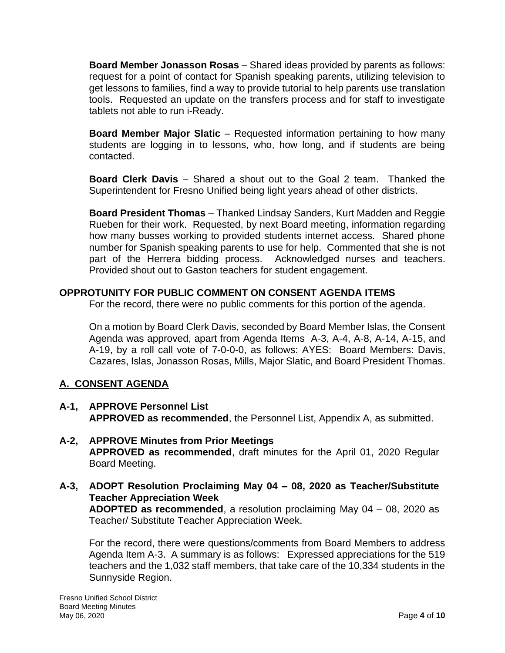**Board Member Jonasson Rosas** – Shared ideas provided by parents as follows: request for a point of contact for Spanish speaking parents, utilizing television to get lessons to families, find a way to provide tutorial to help parents use translation tools. Requested an update on the transfers process and for staff to investigate tablets not able to run i-Ready.

**Board Member Major Slatic** – Requested information pertaining to how many students are logging in to lessons, who, how long, and if students are being contacted.

**Board Clerk Davis** – Shared a shout out to the Goal 2 team. Thanked the Superintendent for Fresno Unified being light years ahead of other districts.

**Board President Thomas** – Thanked Lindsay Sanders, Kurt Madden and Reggie Rueben for their work. Requested, by next Board meeting, information regarding how many busses working to provided students internet access. Shared phone number for Spanish speaking parents to use for help. Commented that she is not part of the Herrera bidding process. Acknowledged nurses and teachers. Provided shout out to Gaston teachers for student engagement.

# **OPPROTUNITY FOR PUBLIC COMMENT ON CONSENT AGENDA ITEMS**

For the record, there were no public comments for this portion of the agenda.

On a motion by Board Clerk Davis, seconded by Board Member Islas, the Consent Agenda was approved, apart from Agenda Items A-3, A-4, A-8, A-14, A-15, and A-19, by a roll call vote of 7-0-0-0, as follows: AYES: Board Members: Davis, Cazares, Islas, Jonasson Rosas, Mills, Major Slatic, and Board President Thomas.

# **A. CONSENT AGENDA**

- **A-1, APPROVE Personnel List APPROVED as recommended**, the Personnel List, Appendix A, as submitted.
- **A-2, APPROVE Minutes from Prior Meetings APPROVED as recommended**, draft minutes for the April 01, 2020 Regular Board Meeting.
- **A-3, ADOPT Resolution Proclaiming May 04 – 08, 2020 as Teacher/Substitute Teacher Appreciation Week ADOPTED as recommended**, a resolution proclaiming May 04 – 08, 2020 as Teacher/ Substitute Teacher Appreciation Week.

For the record, there were questions/comments from Board Members to address Agenda Item A-3. A summary is as follows: Expressed appreciations for the 519 teachers and the 1,032 staff members, that take care of the 10,334 students in the Sunnyside Region.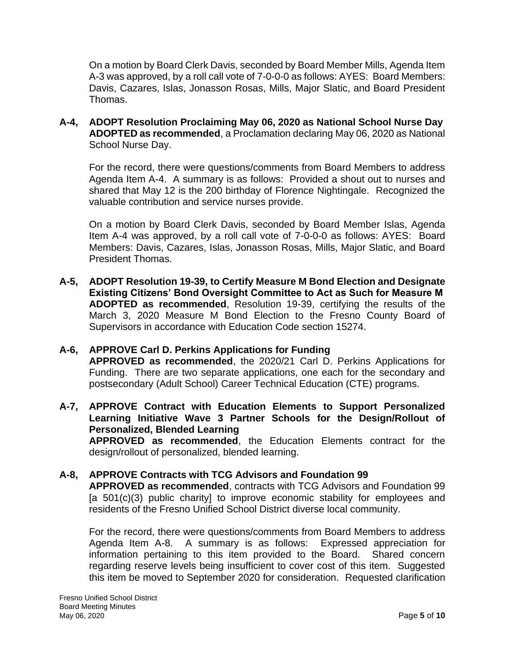On a motion by Board Clerk Davis, seconded by Board Member Mills, Agenda Item A-3 was approved, by a roll call vote of 7-0-0-0 as follows: AYES: Board Members: Davis, Cazares, Islas, Jonasson Rosas, Mills, Major Slatic, and Board President Thomas.

**A-4, ADOPT Resolution Proclaiming May 06, 2020 as National School Nurse Day ADOPTED as recommended**, a Proclamation declaring May 06, 2020 as National School Nurse Day.

For the record, there were questions/comments from Board Members to address Agenda Item A-4. A summary is as follows: Provided a shout out to nurses and shared that May 12 is the 200 birthday of Florence Nightingale. Recognized the valuable contribution and service nurses provide.

On a motion by Board Clerk Davis, seconded by Board Member Islas, Agenda Item A-4 was approved, by a roll call vote of 7-0-0-0 as follows: AYES: Board Members: Davis, Cazares, Islas, Jonasson Rosas, Mills, Major Slatic, and Board President Thomas.

**A-5, ADOPT Resolution 19-39, to Certify Measure M Bond Election and Designate Existing Citizens' Bond Oversight Committee to Act as Such for Measure M ADOPTED as recommended**, Resolution 19-39, certifying the results of the March 3, 2020 Measure M Bond Election to the Fresno County Board of Supervisors in accordance with Education Code section 15274.

#### **A-6, APPROVE Carl D. Perkins Applications for Funding APPROVED as recommended**, the 2020/21 Carl D. Perkins Applications for

Funding. There are two separate applications, one each for the secondary and postsecondary (Adult School) Career Technical Education (CTE) programs.

**A-7, APPROVE Contract with Education Elements to Support Personalized Learning Initiative Wave 3 Partner Schools for the Design/Rollout of Personalized, Blended Learning**

**APPROVED as recommended**, the Education Elements contract for the design/rollout of personalized, blended learning.

# **A-8, APPROVE Contracts with TCG Advisors and Foundation 99**

**APPROVED as recommended**, contracts with TCG Advisors and Foundation 99 [a 501(c)(3) public charity] to improve economic stability for employees and residents of the Fresno Unified School District diverse local community.

For the record, there were questions/comments from Board Members to address Agenda Item A-8. A summary is as follows: Expressed appreciation for information pertaining to this item provided to the Board. Shared concern regarding reserve levels being insufficient to cover cost of this item. Suggested this item be moved to September 2020 for consideration. Requested clarification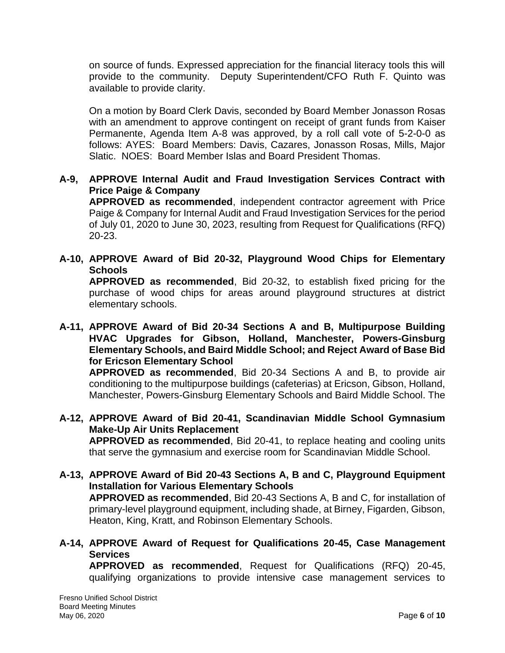on source of funds. Expressed appreciation for the financial literacy tools this will provide to the community. Deputy Superintendent/CFO Ruth F. Quinto was available to provide clarity.

On a motion by Board Clerk Davis, seconded by Board Member Jonasson Rosas with an amendment to approve contingent on receipt of grant funds from Kaiser Permanente, Agenda Item A-8 was approved, by a roll call vote of 5-2-0-0 as follows: AYES: Board Members: Davis, Cazares, Jonasson Rosas, Mills, Major Slatic. NOES: Board Member Islas and Board President Thomas.

### **A-9, APPROVE Internal Audit and Fraud Investigation Services Contract with Price Paige & Company**

**APPROVED as recommended**, independent contractor agreement with Price Paige & Company for Internal Audit and Fraud Investigation Services for the period of July 01, 2020 to June 30, 2023, resulting from Request for Qualifications (RFQ) 20-23.

**A-10, APPROVE Award of Bid 20-32, Playground Wood Chips for Elementary Schools**

**APPROVED as recommended**, Bid 20-32, to establish fixed pricing for the purchase of wood chips for areas around playground structures at district elementary schools.

### **A-11, APPROVE Award of Bid 20-34 Sections A and B, Multipurpose Building HVAC Upgrades for Gibson, Holland, Manchester, Powers-Ginsburg Elementary Schools, and Baird Middle School; and Reject Award of Base Bid for Ericson Elementary School**

**APPROVED as recommended**, Bid 20-34 Sections A and B, to provide air conditioning to the multipurpose buildings (cafeterias) at Ericson, Gibson, Holland, Manchester, Powers-Ginsburg Elementary Schools and Baird Middle School. The

- **A-12, APPROVE Award of Bid 20-41, Scandinavian Middle School Gymnasium Make-Up Air Units Replacement APPROVED as recommended**, Bid 20-41, to replace heating and cooling units that serve the gymnasium and exercise room for Scandinavian Middle School.
- **A-13, APPROVE Award of Bid 20-43 Sections A, B and C, Playground Equipment Installation for Various Elementary Schools APPROVED as recommended**, Bid 20-43 Sections A, B and C, for installation of primary-level playground equipment, including shade, at Birney, Figarden, Gibson, Heaton, King, Kratt, and Robinson Elementary Schools.

# **A-14, APPROVE Award of Request for Qualifications 20-45, Case Management Services**

**APPROVED as recommended**, Request for Qualifications (RFQ) 20-45, qualifying organizations to provide intensive case management services to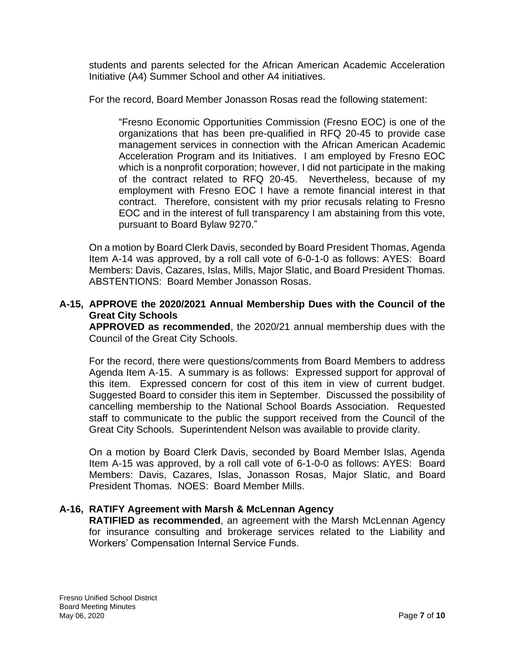students and parents selected for the African American Academic Acceleration Initiative (A4) Summer School and other A4 initiatives.

For the record, Board Member Jonasson Rosas read the following statement:

"Fresno Economic Opportunities Commission (Fresno EOC) is one of the organizations that has been pre-qualified in RFQ 20-45 to provide case management services in connection with the African American Academic Acceleration Program and its Initiatives. I am employed by Fresno EOC which is a nonprofit corporation; however, I did not participate in the making of the contract related to RFQ 20-45. Nevertheless, because of my employment with Fresno EOC I have a remote financial interest in that contract. Therefore, consistent with my prior recusals relating to Fresno EOC and in the interest of full transparency I am abstaining from this vote, pursuant to Board Bylaw 9270."

On a motion by Board Clerk Davis, seconded by Board President Thomas, Agenda Item A-14 was approved, by a roll call vote of 6-0-1-0 as follows: AYES: Board Members: Davis, Cazares, Islas, Mills, Major Slatic, and Board President Thomas. ABSTENTIONS: Board Member Jonasson Rosas.

#### **A-15, APPROVE the 2020/2021 Annual Membership Dues with the Council of the Great City Schools**

**APPROVED as recommended**, the 2020/21 annual membership dues with the Council of the Great City Schools.

For the record, there were questions/comments from Board Members to address Agenda Item A-15. A summary is as follows: Expressed support for approval of this item. Expressed concern for cost of this item in view of current budget. Suggested Board to consider this item in September. Discussed the possibility of cancelling membership to the National School Boards Association. Requested staff to communicate to the public the support received from the Council of the Great City Schools. Superintendent Nelson was available to provide clarity.

On a motion by Board Clerk Davis, seconded by Board Member Islas, Agenda Item A-15 was approved, by a roll call vote of 6-1-0-0 as follows: AYES: Board Members: Davis, Cazares, Islas, Jonasson Rosas, Major Slatic, and Board President Thomas. NOES: Board Member Mills.

#### **A-16, RATIFY Agreement with Marsh & McLennan Agency**

**RATIFIED as recommended**, an agreement with the Marsh McLennan Agency for insurance consulting and brokerage services related to the Liability and Workers' Compensation Internal Service Funds.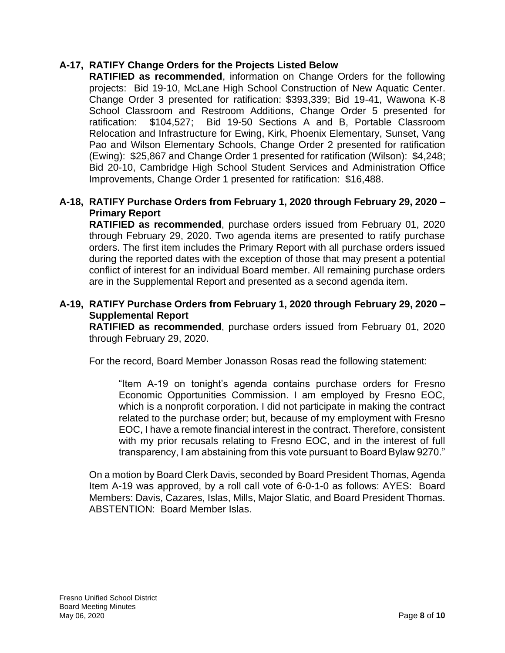### **A-17, RATIFY Change Orders for the Projects Listed Below**

**RATIFIED as recommended**, information on Change Orders for the following projects: Bid 19-10, McLane High School Construction of New Aquatic Center. Change Order 3 presented for ratification: \$393,339; Bid 19-41, Wawona K-8 School Classroom and Restroom Additions, Change Order 5 presented for ratification: \$104,527; Bid 19-50 Sections A and B, Portable Classroom Relocation and Infrastructure for Ewing, Kirk, Phoenix Elementary, Sunset, Vang Pao and Wilson Elementary Schools, Change Order 2 presented for ratification (Ewing): \$25,867 and Change Order 1 presented for ratification (Wilson): \$4,248; Bid 20-10, Cambridge High School Student Services and Administration Office Improvements, Change Order 1 presented for ratification: \$16,488.

### **A-18, RATIFY Purchase Orders from February 1, 2020 through February 29, 2020 – Primary Report**

**RATIFIED as recommended**, purchase orders issued from February 01, 2020 through February 29, 2020. Two agenda items are presented to ratify purchase orders. The first item includes the Primary Report with all purchase orders issued during the reported dates with the exception of those that may present a potential conflict of interest for an individual Board member. All remaining purchase orders are in the Supplemental Report and presented as a second agenda item.

### **A-19, RATIFY Purchase Orders from February 1, 2020 through February 29, 2020 – Supplemental Report**

**RATIFIED as recommended**, purchase orders issued from February 01, 2020 through February 29, 2020.

For the record, Board Member Jonasson Rosas read the following statement:

"Item A-19 on tonight's agenda contains purchase orders for Fresno Economic Opportunities Commission. I am employed by Fresno EOC, which is a nonprofit corporation. I did not participate in making the contract related to the purchase order; but, because of my employment with Fresno EOC, I have a remote financial interest in the contract. Therefore, consistent with my prior recusals relating to Fresno EOC, and in the interest of full transparency, I am abstaining from this vote pursuant to Board Bylaw 9270."

On a motion by Board Clerk Davis, seconded by Board President Thomas, Agenda Item A-19 was approved, by a roll call vote of 6-0-1-0 as follows: AYES: Board Members: Davis, Cazares, Islas, Mills, Major Slatic, and Board President Thomas. ABSTENTION: Board Member Islas.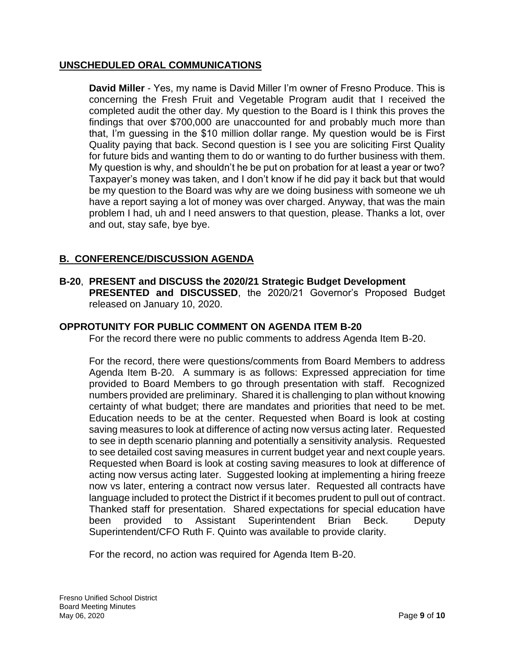### **UNSCHEDULED ORAL COMMUNICATIONS**

**David Miller** - Yes, my name is David Miller I'm owner of Fresno Produce. This is concerning the Fresh Fruit and Vegetable Program audit that I received the completed audit the other day. My question to the Board is I think this proves the findings that over \$700,000 are unaccounted for and probably much more than that, I'm guessing in the \$10 million dollar range. My question would be is First Quality paying that back. Second question is I see you are soliciting First Quality for future bids and wanting them to do or wanting to do further business with them. My question is why, and shouldn't he be put on probation for at least a year or two? Taxpayer's money was taken, and I don't know if he did pay it back but that would be my question to the Board was why are we doing business with someone we uh have a report saying a lot of money was over charged. Anyway, that was the main problem I had, uh and I need answers to that question, please. Thanks a lot, over and out, stay safe, bye bye.

# **B. CONFERENCE/DISCUSSION AGENDA**

**B-20**, **PRESENT and DISCUSS the 2020/21 Strategic Budget Development PRESENTED and DISCUSSED**, the 2020/21 Governor's Proposed Budget released on January 10, 2020.

#### **OPPROTUNITY FOR PUBLIC COMMENT ON AGENDA ITEM B-20**

For the record there were no public comments to address Agenda Item B-20.

For the record, there were questions/comments from Board Members to address Agenda Item B-20. A summary is as follows: Expressed appreciation for time provided to Board Members to go through presentation with staff. Recognized numbers provided are preliminary. Shared it is challenging to plan without knowing certainty of what budget; there are mandates and priorities that need to be met. Education needs to be at the center. Requested when Board is look at costing saving measures to look at difference of acting now versus acting later. Requested to see in depth scenario planning and potentially a sensitivity analysis. Requested to see detailed cost saving measures in current budget year and next couple years. Requested when Board is look at costing saving measures to look at difference of acting now versus acting later. Suggested looking at implementing a hiring freeze now vs later, entering a contract now versus later. Requested all contracts have language included to protect the District if it becomes prudent to pull out of contract. Thanked staff for presentation. Shared expectations for special education have been provided to Assistant Superintendent Brian Beck. Deputy Superintendent/CFO Ruth F. Quinto was available to provide clarity.

For the record, no action was required for Agenda Item B-20.